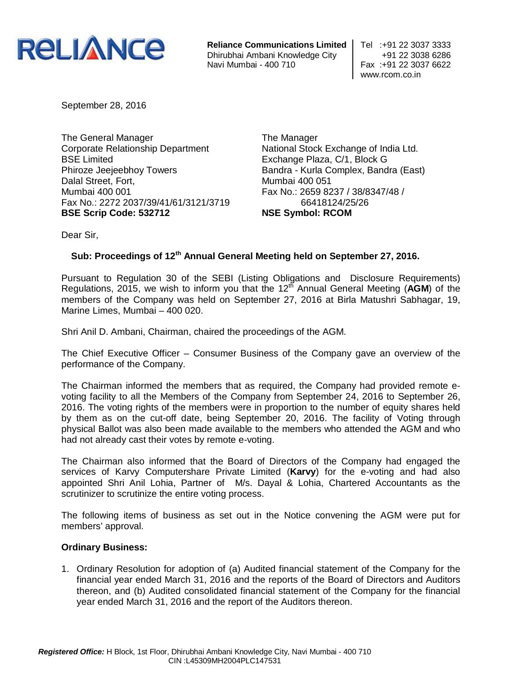

**Reliance Communications Limited** Tel :+91 22 3037 3333 Dhirubhai Ambani Knowledge City +91 22 3038 6286

Fax: +91 22 3037 6622 www.rcom.co.in

September 28, 2016

The General Manager Corporate Relationship Department BSE Limited Phiroze Jeejeebhoy Towers Dalal Street, Fort, Mumbai 400 001 Fax No.: 2272 2037/39/41/61/3121/3719 **BSE Scrip Code: 532712**

The Manager National Stock Exchange of India Ltd. Exchange Plaza, C/1, Block G Bandra - Kurla Complex, Bandra (East) Mumbai 400 051 Fax No.: 2659 8237 / 38/8347/48 / 66418124/25/26 **NSE Symbol: RCOM**

Dear Sir,

## Sub: Proceedings of 12<sup>th</sup> Annual General Meeting held on September 27, 2016.

Pursuant to Regulation 30 of the SEBI (Listing Obligations and Disclosure Requirements) Regulations, 2015, we wish to inform you that the 12<sup>th</sup> Annual General Meeting (AGM) of the members of the Company was held on September 27, 2016 at Birla Matushri Sabhagar, 19, Marine Limes, Mumbai – 400 020.

Shri Anil D. Ambani, Chairman, chaired the proceedings of the AGM.

The Chief Executive Officer – Consumer Business of the Company gave an overview of the performance of the Company.

The Chairman informed the members that as required, the Company had provided remote evoting facility to all the Members of the Company from September 24, 2016 to September 26, 2016. The voting rights of the members were in proportion to the number of equity shares held by them as on the cut-off date, being September 20, 2016. The facility of Voting through physical Ballot was also been made available to the members who attended the AGM and who had not already cast their votes by remote e-voting.

The Chairman also informed that the Board of Directors of the Company had engaged the services of Karvy Computershare Private Limited (**Karvy**) for the e-voting and had also appointed Shri Anil Lohia, Partner of M/s. Dayal & Lohia, Chartered Accountants as the scrutinizer to scrutinize the entire voting process.

The following items of business as set out in the Notice convening the AGM were put for members' approval.

## **Ordinary Business:**

1. Ordinary Resolution for adoption of (a) Audited financial statement of the Company for the financial year ended March 31, 2016 and the reports of the Board of Directors and Auditors thereon, and (b) Audited consolidated financial statement of the Company for the financial year ended March 31, 2016 and the report of the Auditors thereon.